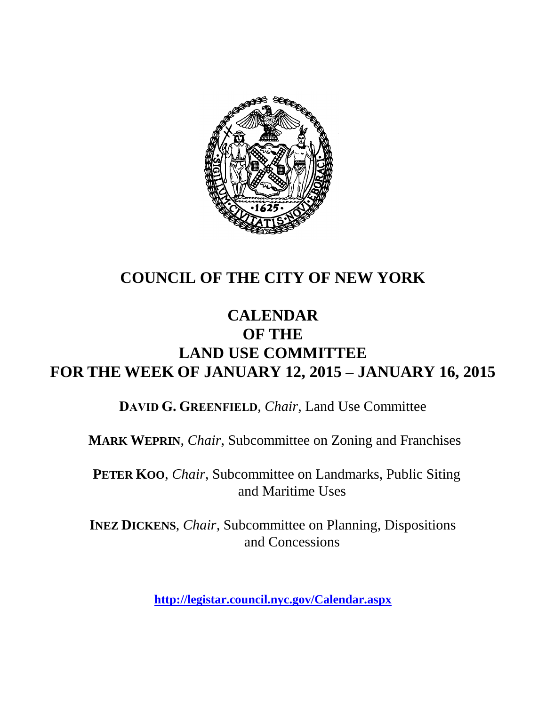

# **COUNCIL OF THE CITY OF NEW YORK**

## **CALENDAR OF THE LAND USE COMMITTEE FOR THE WEEK OF JANUARY 12, 2015 – JANUARY 16, 2015**

**DAVID G. GREENFIELD**, *Chair*, Land Use Committee

**MARK WEPRIN**, *Chair*, Subcommittee on Zoning and Franchises

**PETER KOO**, *Chair*, Subcommittee on Landmarks, Public Siting and Maritime Uses

**INEZ DICKENS**, *Chair,* Subcommittee on Planning, Dispositions and Concessions

**<http://legistar.council.nyc.gov/Calendar.aspx>**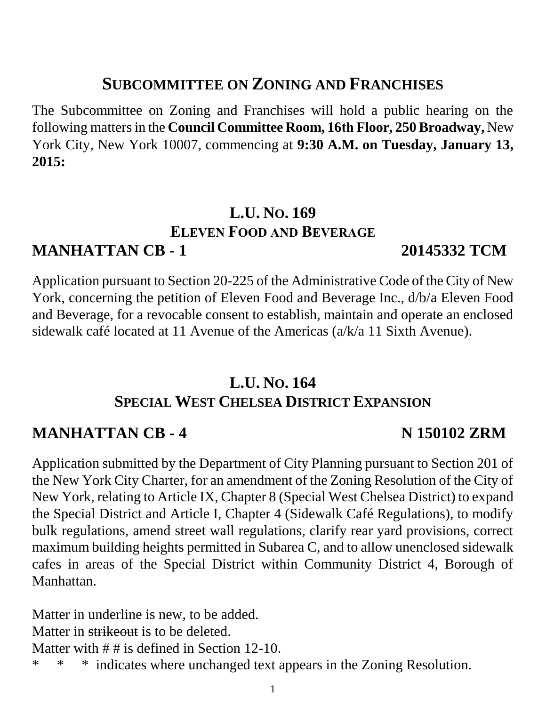#### **SUBCOMMITTEE ON ZONING AND FRANCHISES**

The Subcommittee on Zoning and Franchises will hold a public hearing on the following mattersin the **Council Committee Room, 16th Floor, 250 Broadway,** New York City, New York 10007, commencing at **9:30 A.M. on Tuesday, January 13, 2015:**

#### **L.U. NO. 169 ELEVEN FOOD AND BEVERAGE MANHATTAN CB - 1 20145332 TCM**

Application pursuant to Section 20-225 of the Administrative Code of the City of New York, concerning the petition of Eleven Food and Beverage Inc., d/b/a Eleven Food and Beverage, for a revocable consent to establish, maintain and operate an enclosed sidewalk café located at 11 Avenue of the Americas (a/k/a 11 Sixth Avenue).

#### **L.U. NO. 164 SPECIAL WEST CHELSEA DISTRICT EXPANSION**

#### **MANHATTAN CB - 4 N 150102 ZRM**

Application submitted by the Department of City Planning pursuant to Section 201 of the New York City Charter, for an amendment of the Zoning Resolution of the City of New York, relating to Article IX, Chapter 8 (Special West Chelsea District) to expand the Special District and Article I, Chapter 4 (Sidewalk Café Regulations), to modify bulk regulations, amend street wall regulations, clarify rear yard provisions, correct maximum building heights permitted in Subarea C, and to allow unenclosed sidewalk cafes in areas of the Special District within Community District 4, Borough of Manhattan.

Matter in underline is new, to be added. Matter in strikeout is to be deleted. Matter with ## is defined in Section 12-10. \* \* \* indicates where unchanged text appears in the Zoning Resolution.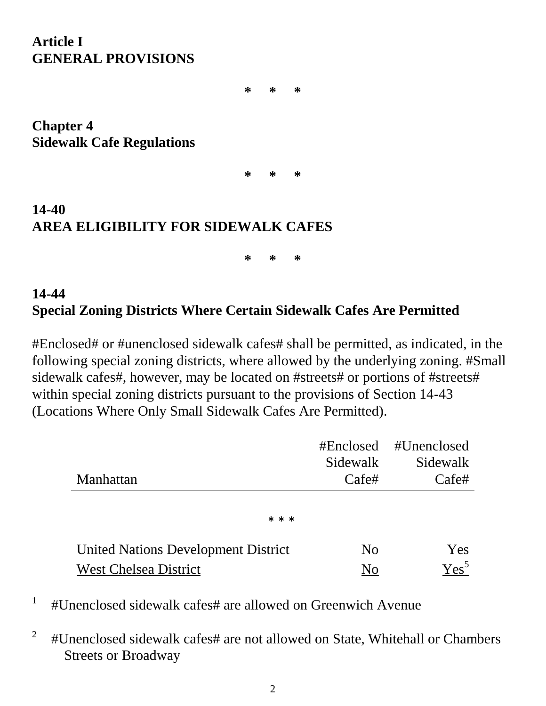#### **Article I GENERAL PROVISIONS**

**\* \* \***

**Chapter 4 Sidewalk Cafe Regulations**

**\* \* \***

## **14-40 AREA ELIGIBILITY FOR SIDEWALK CAFES**

**\* \* \***

#### **14-44 Special Zoning Districts Where Certain Sidewalk Cafes Are Permitted**

#Enclosed# or #unenclosed sidewalk cafes# shall be permitted, as indicated, in the following special zoning districts, where allowed by the underlying zoning. #Small sidewalk cafes#, however, may be located on #streets# or portions of #streets# within special zoning districts pursuant to the provisions of Section 14-43 (Locations Where Only Small Sidewalk Cafes Are Permitted).

|                                            |                | #Enclosed #Unenclosed |
|--------------------------------------------|----------------|-----------------------|
|                                            | Sidewalk       | Sidewalk              |
| Manhattan                                  | Cafe#          | Cafe#                 |
|                                            |                |                       |
| * * *                                      |                |                       |
| <b>United Nations Development District</b> | N <sub>0</sub> | Yes                   |
| <b>West Chelsea District</b>               | No             | $Yes^5$               |

<sup>1</sup> #Unenclosed sidewalk cafes# are allowed on Greenwich Avenue

2 #Unenclosed sidewalk cafes# are not allowed on State, Whitehall or Chambers Streets or Broadway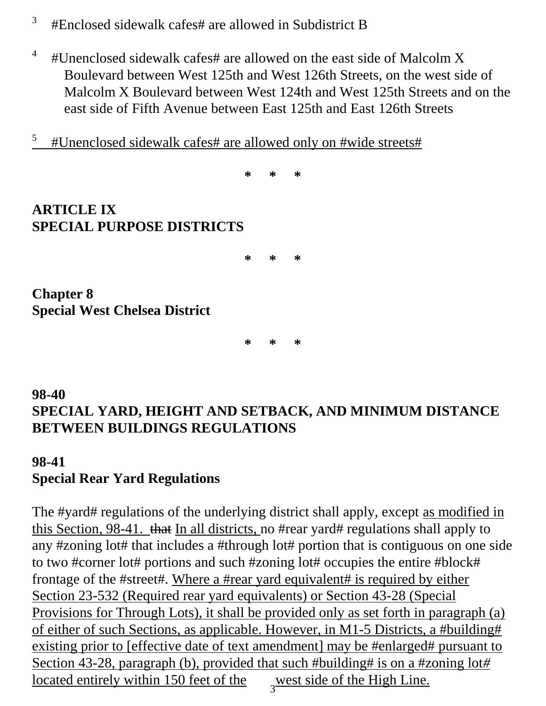- 3 #Enclosed sidewalk cafes# are allowed in Subdistrict B
- <sup>4</sup> #Unenclosed sidewalk cafes# are allowed on the east side of Malcolm X Boulevard between West 125th and West 126th Streets, on the west side of Malcolm X Boulevard between West 124th and West 125th Streets and on the east side of Fifth Avenue between East 125th and East 126th Streets
- <sup>5</sup> #Unenclosed sidewalk cafes# are allowed only on #wide streets#

**\* \* \* ARTICLE IX SPECIAL PURPOSE DISTRICTS \* \* \* Chapter 8 Special West Chelsea District**

**98-40 SPECIAL YARD, HEIGHT AND SETBACK, AND MINIMUM DISTANCE BETWEEN BUILDINGS REGULATIONS**

**\* \* \***

#### **98-41 Special Rear Yard Regulations**

west side of the High Line. The #yard# regulations of the underlying district shall apply, except as modified in this Section, 98-41. that In all districts, no #rear yard# regulations shall apply to any #zoning lot# that includes a #through lot# portion that is contiguous on one side to two #corner lot# portions and such #zoning lot# occupies the entire #block# frontage of the #street#. Where a #rear yard equivalent# is required by either Section 23-532 (Required rear yard equivalents) or Section 43-28 (Special Provisions for Through Lots), it shall be provided only as set forth in paragraph (a) of either of such Sections, as applicable. However, in M1-5 Districts, a #building# existing prior to [effective date of text amendment] may be #enlarged# pursuant to Section 43-28, paragraph (b), provided that such #building# is on a #zoning lot*#* located entirely within 150 feet of the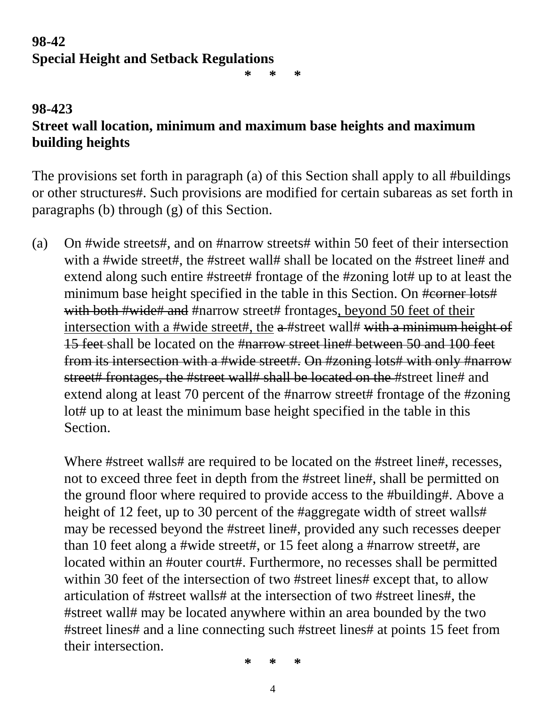### **98-42 Special Height and Setback Regulations**

**\* \* \***

#### **98-423 Street wall location, minimum and maximum base heights and maximum building heights**

The provisions set forth in paragraph (a) of this Section shall apply to all #buildings or other structures#. Such provisions are modified for certain subareas as set forth in paragraphs (b) through (g) of this Section.

(a) On #wide streets#, and on #narrow streets# within 50 feet of their intersection with a #wide street#, the #street wall# shall be located on the #street line# and extend along such entire #street# frontage of the #zoning lot# up to at least the minimum base height specified in the table in this Section. On #corner lots# with both #wide# and #narrow street# frontages, beyond 50 feet of their intersection with a #wide street#, the a #street wall# with a minimum height of 15 feet shall be located on the #narrow street line# between 50 and 100 feet from its intersection with a #wide street#. On #zoning lots# with only #narrow street# frontages, the #street wall# shall be located on the #street line# and extend along at least 70 percent of the #narrow street# frontage of the #zoning lot# up to at least the minimum base height specified in the table in this Section.

Where #street walls# are required to be located on the #street line#, recesses, not to exceed three feet in depth from the #street line#, shall be permitted on the ground floor where required to provide access to the #building#. Above a height of 12 feet, up to 30 percent of the #aggregate width of street walls# may be recessed beyond the #street line#, provided any such recesses deeper than 10 feet along a #wide street#, or 15 feet along a #narrow street#, are located within an #outer court#. Furthermore, no recesses shall be permitted within 30 feet of the intersection of two #street lines# except that, to allow articulation of #street walls# at the intersection of two #street lines#, the #street wall# may be located anywhere within an area bounded by the two #street lines# and a line connecting such #street lines# at points 15 feet from their intersection.

**\* \* \***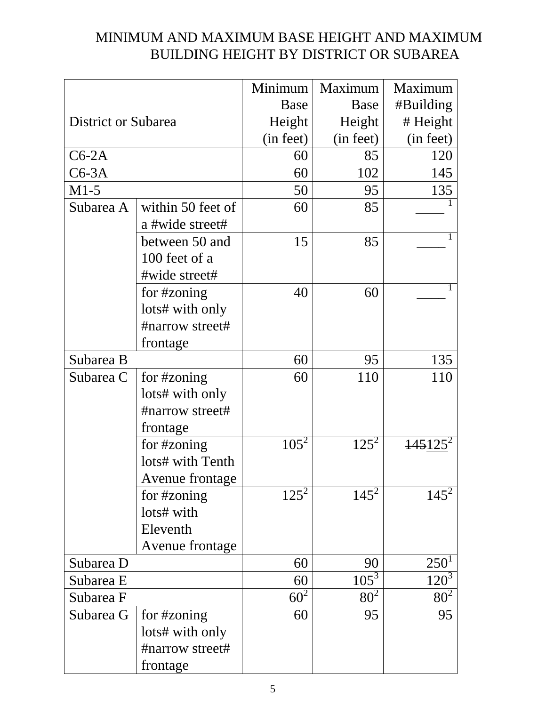#### MINIMUM AND MAXIMUM BASE HEIGHT AND MAXIMUM BUILDING HEIGHT BY DISTRICT OR SUBAREA

|                            |                   | Minimum   | Maximum         | Maximum    |
|----------------------------|-------------------|-----------|-----------------|------------|
|                            |                   | Base      | Base            | #Building  |
| <b>District or Subarea</b> |                   | Height    | Height          | # Height   |
|                            |                   | (in feet) | (in feet)       | (in feet)  |
| $C6-2A$                    |                   | 60        | 85              | 120        |
| $C6-3A$                    |                   | 60        | 102             | 145        |
| $M1-5$                     |                   | 50        | 95              | 135        |
| Subarea A                  | within 50 feet of | 60        | 85              |            |
|                            | a #wide street#   |           |                 |            |
|                            | between 50 and    | 15        | 85              |            |
|                            | 100 feet of a     |           |                 |            |
|                            | #wide street#     |           |                 |            |
|                            | for #zoning       | 40        | 60              |            |
|                            | lots# with only   |           |                 |            |
|                            | #narrow street#   |           |                 |            |
|                            | frontage          |           |                 |            |
| Subarea B                  |                   | 60        | 95              | 135        |
| Subarea C                  | for #zoning       | 60        | 110             | 110        |
|                            | lots# with only   |           |                 |            |
|                            | #narrow street#   |           |                 |            |
|                            | frontage          |           |                 |            |
|                            | for #zoning       | $105^2$   | $125^2$         | $145125^2$ |
|                            | lots# with Tenth  |           |                 |            |
|                            | Avenue frontage   |           |                 |            |
|                            | for #zoning       | $125^2$   | $145^2$         | $145^2$    |
|                            | lots# with        |           |                 |            |
|                            | Eleventh          |           |                 |            |
|                            | Avenue frontage   |           |                 |            |
| Subarea D                  |                   | 60        | 90              | $250^1$    |
| Subarea E                  |                   | 60        | $105^3$         | $120^3$    |
| Subarea F                  |                   | $60^2$    | 80 <sup>2</sup> | $80^2$     |
| Subarea G                  | for #zoning       | 60        | 95              | 95         |
|                            | lots# with only   |           |                 |            |
|                            | #narrow street#   |           |                 |            |
|                            | frontage          |           |                 |            |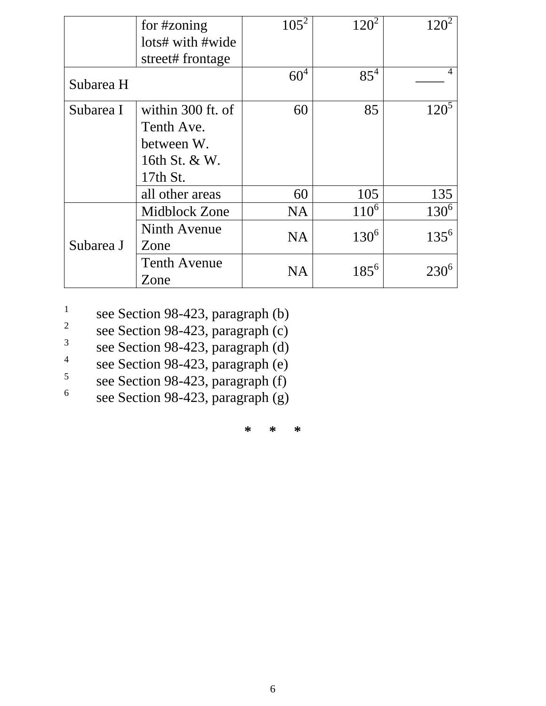|           | for #zoning<br>lots# with #wide | $105^2$         | $120^2$   | $120^2$   |
|-----------|---------------------------------|-----------------|-----------|-----------|
|           | street# frontage                |                 |           |           |
| Subarea H |                                 | 60 <sup>4</sup> | $85^{4}$  |           |
| Subarea I | within 300 ft. of               | 60              | 85        | $120^5$   |
|           | Tenth Ave.                      |                 |           |           |
|           | between W.                      |                 |           |           |
|           | 16th St. & W.                   |                 |           |           |
|           | 17th St.                        |                 |           |           |
|           | all other areas                 | 60              | 105       | 135       |
| Subarea J | Midblock Zone                   | <b>NA</b>       | $110^6$   | $130^6$   |
|           | Ninth Avenue                    | <b>NA</b>       | $130^{6}$ | $135^{6}$ |
|           | Zone                            |                 |           |           |
|           | <b>Tenth Avenue</b>             | <b>NA</b>       | $185^{6}$ | $230^6$   |
|           | Zone                            |                 |           |           |

1 see Section 98-423, paragraph (b)

- 2 see Section 98-423, paragraph (c)
- 3 see Section 98-423, paragraph (d)
- 4 see Section 98-423, paragraph (e)
- 5 see Section 98-423, paragraph (f)

6 see Section 98-423, paragraph (g)

**\* \* \***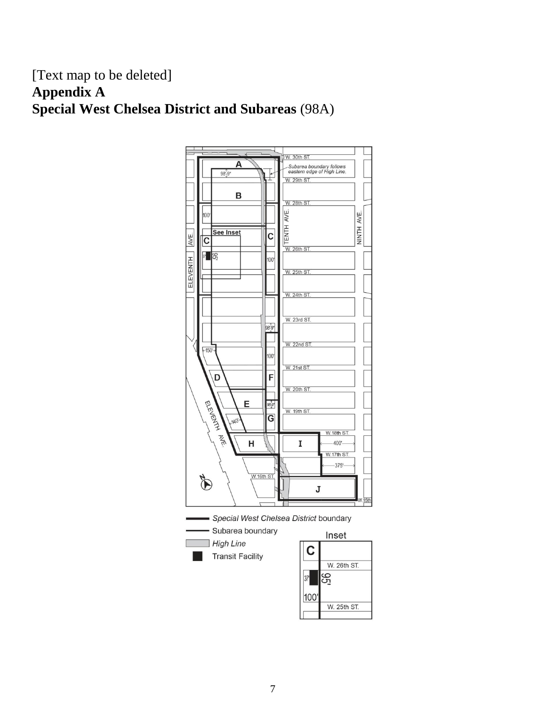#### [Text map to be deleted] **Appendix A Special West Chelsea District and Subareas** (98A)

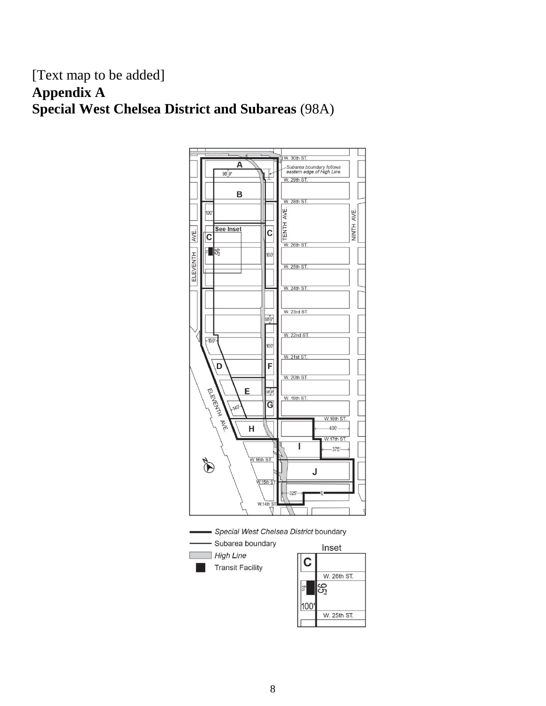#### [Text map to be added] **Appendix A Special West Chelsea District and Subareas** (98A)

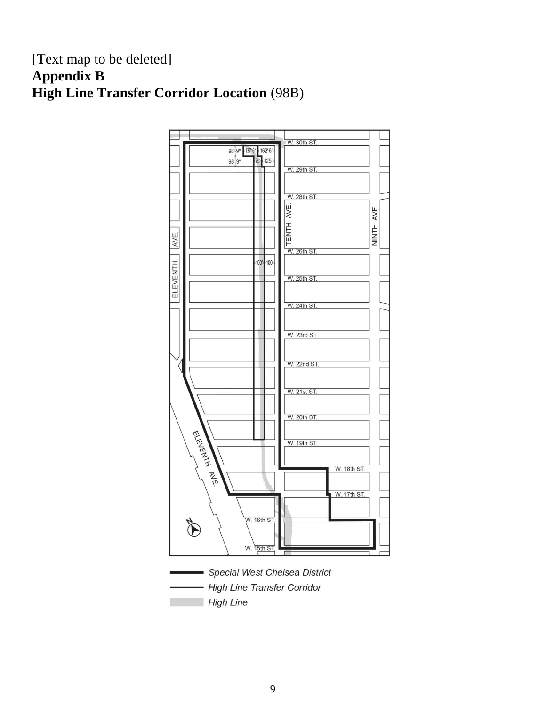#### [Text map to be deleted] **Appendix B High Line Transfer Corridor Location** (98B)

![](_page_9_Figure_1.jpeg)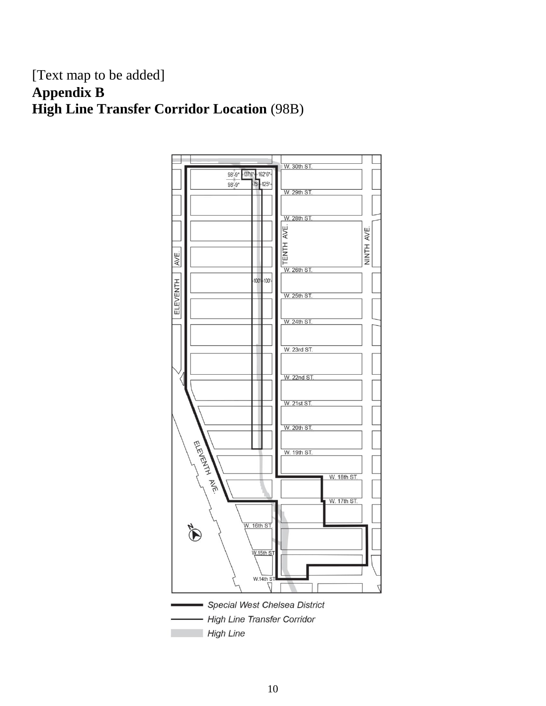#### [Text map to be added] **Appendix B High Line Transfer Corridor Location** (98B)

![](_page_10_Figure_1.jpeg)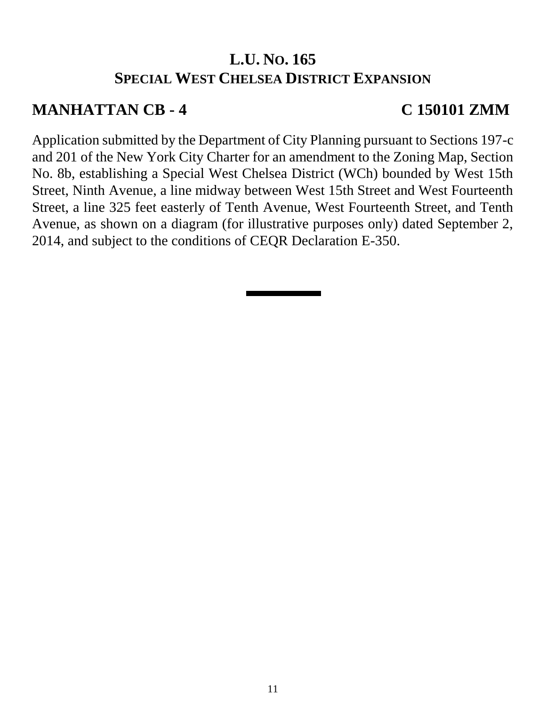### **L.U. NO. 165 SPECIAL WEST CHELSEA DISTRICT EXPANSION**

#### **MANHATTAN CB - 4 C 150101 ZMM**

Application submitted by the Department of City Planning pursuant to Sections 197-c and 201 of the New York City Charter for an amendment to the Zoning Map, Section No. 8b, establishing a Special West Chelsea District (WCh) bounded by West 15th Street, Ninth Avenue, a line midway between West 15th Street and West Fourteenth Street, a line 325 feet easterly of Tenth Avenue, West Fourteenth Street, and Tenth Avenue, as shown on a diagram (for illustrative purposes only) dated September 2, 2014, and subject to the conditions of CEQR Declaration E-350.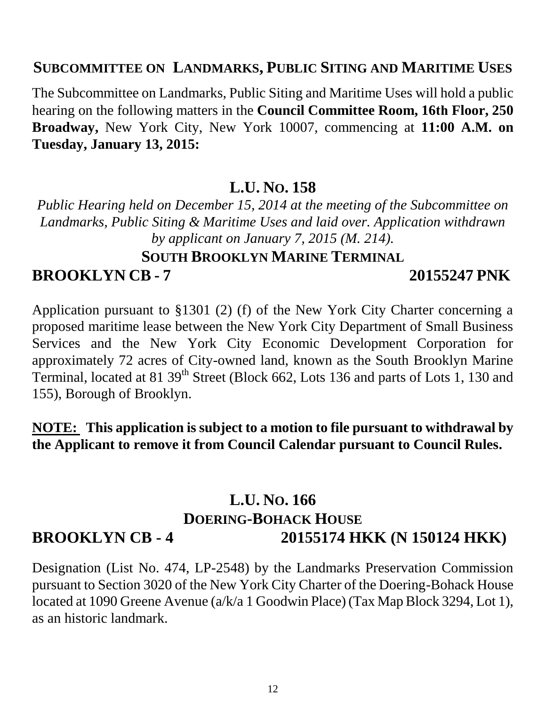#### **SUBCOMMITTEE ON LANDMARKS, PUBLIC SITING AND MARITIME USES**

The Subcommittee on Landmarks, Public Siting and Maritime Uses will hold a public hearing on the following matters in the **Council Committee Room, 16th Floor, 250 Broadway,** New York City, New York 10007, commencing at **11:00 A.M. on Tuesday, January 13, 2015:**

#### **L.U. NO. 158**

*Public Hearing held on December 15, 2014 at the meeting of the Subcommittee on Landmarks, Public Siting & Maritime Uses and laid over. Application withdrawn by applicant on January 7, 2015 (M. 214).* 

# **SOUTH BROOKLYN MARINE TERMINAL BROOKLYN CB - 7 20155247 PNK**

Application pursuant to §1301 (2) (f) of the New York City Charter concerning a proposed maritime lease between the New York City Department of Small Business Services and the New York City Economic Development Corporation for approximately 72 acres of City-owned land, known as the South Brooklyn Marine Terminal, located at 81 39<sup>th</sup> Street (Block 662, Lots 136 and parts of Lots 1, 130 and 155), Borough of Brooklyn.

**NOTE: This application is subject to a motion to file pursuant to withdrawal by the Applicant to remove it from Council Calendar pursuant to Council Rules.**

#### **L.U. NO. 166 DOERING-BOHACK HOUSE BROOKLYN CB - 4 20155174 HKK (N 150124 HKK)**

Designation (List No. 474, LP-2548) by the Landmarks Preservation Commission pursuant to Section 3020 of the New York City Charter of the Doering-Bohack House located at 1090 Greene Avenue (a/k/a 1 Goodwin Place) (Tax Map Block 3294, Lot 1), as an historic landmark.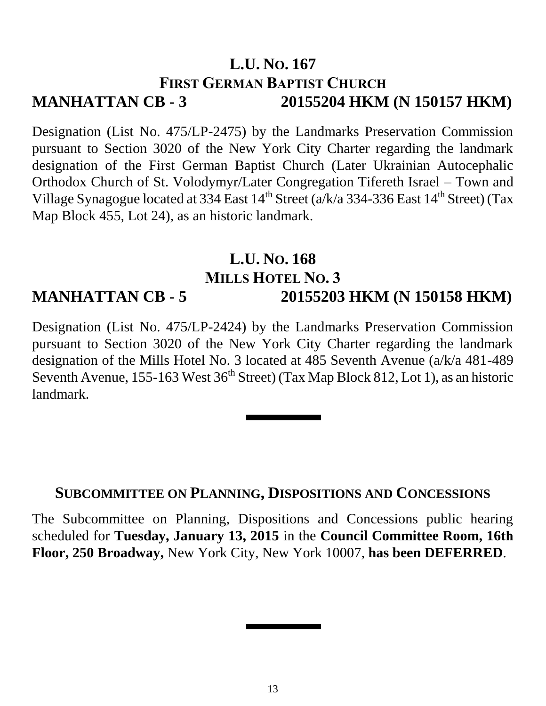### **L.U. NO. 167 FIRST GERMAN BAPTIST CHURCH MANHATTAN CB - 3 20155204 HKM (N 150157 HKM)**

Designation (List No. 475/LP-2475) by the Landmarks Preservation Commission pursuant to Section 3020 of the New York City Charter regarding the landmark designation of the First German Baptist Church (Later Ukrainian Autocephalic Orthodox Church of St. Volodymyr/Later Congregation Tifereth Israel – Town and Village Synagogue located at 334 East  $14^{th}$  Street (a/k/a 334-336 East  $14^{th}$  Street) (Tax Map Block 455, Lot 24), as an historic landmark.

#### **L.U. NO. 168 MILLS HOTEL NO. 3 MANHATTAN CB - 5 20155203 HKM (N 150158 HKM)**

Designation (List No. 475/LP-2424) by the Landmarks Preservation Commission pursuant to Section 3020 of the New York City Charter regarding the landmark designation of the Mills Hotel No. 3 located at 485 Seventh Avenue (a/k/a 481-489 Seventh Avenue, 155-163 West  $36<sup>th</sup>$  Street) (Tax Map Block 812, Lot 1), as an historic landmark.

#### **SUBCOMMITTEE ON PLANNING, DISPOSITIONS AND CONCESSIONS**

The Subcommittee on Planning, Dispositions and Concessions public hearing scheduled for **Tuesday, January 13, 2015** in the **Council Committee Room, 16th Floor, 250 Broadway,** New York City, New York 10007, **has been DEFERRED**.